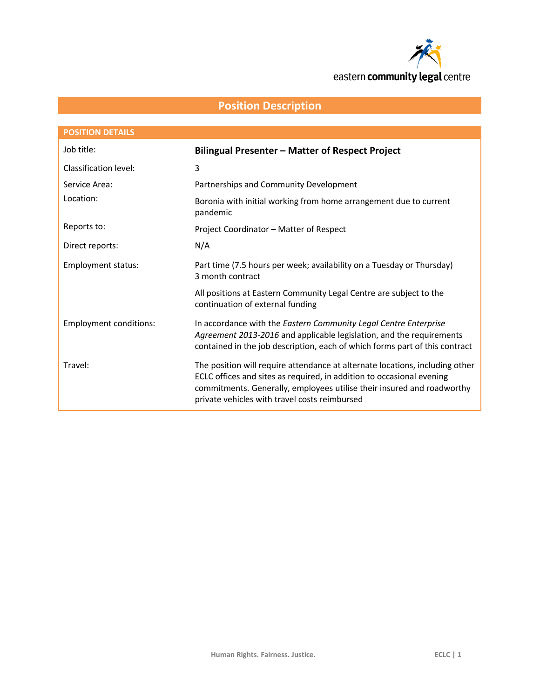

# **Position Description**

| <b>POSITION DETAILS</b>       |                                                                                                                                                                                                                                                                                  |
|-------------------------------|----------------------------------------------------------------------------------------------------------------------------------------------------------------------------------------------------------------------------------------------------------------------------------|
| Job title:                    | <b>Bilingual Presenter - Matter of Respect Project</b>                                                                                                                                                                                                                           |
| Classification level:         | 3                                                                                                                                                                                                                                                                                |
| Service Area:                 | Partnerships and Community Development                                                                                                                                                                                                                                           |
| Location:                     | Boronia with initial working from home arrangement due to current<br>pandemic                                                                                                                                                                                                    |
| Reports to:                   | Project Coordinator - Matter of Respect                                                                                                                                                                                                                                          |
| Direct reports:               | N/A                                                                                                                                                                                                                                                                              |
| <b>Employment status:</b>     | Part time (7.5 hours per week; availability on a Tuesday or Thursday)<br>3 month contract                                                                                                                                                                                        |
|                               | All positions at Eastern Community Legal Centre are subject to the<br>continuation of external funding                                                                                                                                                                           |
| <b>Employment conditions:</b> | In accordance with the Eastern Community Legal Centre Enterprise<br>Agreement 2013-2016 and applicable legislation, and the requirements<br>contained in the job description, each of which forms part of this contract                                                          |
| Travel:                       | The position will require attendance at alternate locations, including other<br>ECLC offices and sites as required, in addition to occasional evening<br>commitments. Generally, employees utilise their insured and roadworthy<br>private vehicles with travel costs reimbursed |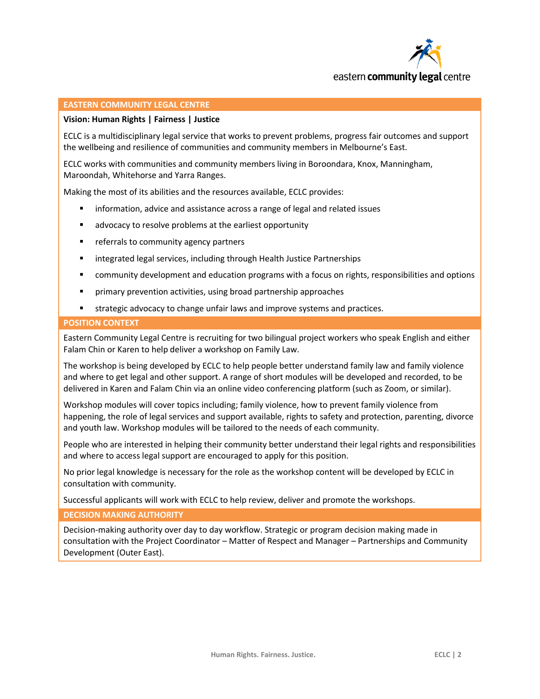

## **EASTERN COMMUNITY LEGAL CENTRE**

## **Vision: Human Rights | Fairness | Justice**

ECLC is a multidisciplinary legal service that works to prevent problems, progress fair outcomes and support the wellbeing and resilience of communities and community members in Melbourne's East.

ECLC works with communities and community members living in Boroondara, Knox, Manningham, Maroondah, Whitehorse and Yarra Ranges.

Making the most of its abilities and the resources available, ECLC provides:

- information, advice and assistance across a range of legal and related issues
- **EXTERG** advocacy to resolve problems at the earliest opportunity
- **F** referrals to community agency partners
- **EXECT** integrated legal services, including through Health Justice Partnerships
- **EXECOMMUNITY COMMUNIST 2** community development and education programs with a focus on rights, responsibilities and options
- primary prevention activities, using broad partnership approaches
- strategic advocacy to change unfair laws and improve systems and practices.

### **POSITION CONTEXT**

Eastern Community Legal Centre is recruiting for two bilingual project workers who speak English and either Falam Chin or Karen to help deliver a workshop on Family Law.

The workshop is being developed by ECLC to help people better understand family law and family violence and where to get legal and other support. A range of short modules will be developed and recorded, to be delivered in Karen and Falam Chin via an online video conferencing platform (such as Zoom, or similar).

Workshop modules will cover topics including; family violence, how to prevent family violence from happening, the role of legal services and support available, rights to safety and protection, parenting, divorce and youth law. Workshop modules will be tailored to the needs of each community.

People who are interested in helping their community better understand their legal rights and responsibilities and where to access legal support are encouraged to apply for this position.

No prior legal knowledge is necessary for the role as the workshop content will be developed by ECLC in consultation with community.

Successful applicants will work with ECLC to help review, deliver and promote the workshops.

**DECISION MAKING AUTHORITY**

Decision-making authority over day to day workflow. Strategic or program decision making made in consultation with the Project Coordinator – Matter of Respect and Manager – Partnerships and Community Development (Outer East).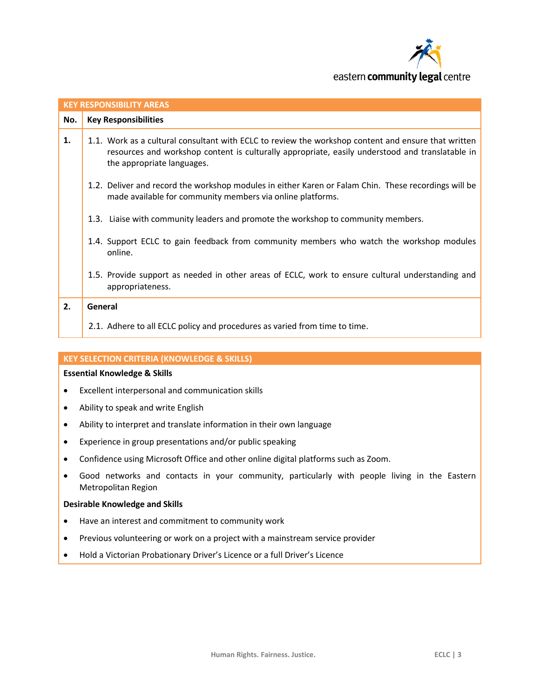

| <b>KEY RESPONSIBILITY AREAS</b> |                                                                                                                                                                                                                                      |  |
|---------------------------------|--------------------------------------------------------------------------------------------------------------------------------------------------------------------------------------------------------------------------------------|--|
| No.                             | <b>Key Responsibilities</b>                                                                                                                                                                                                          |  |
| 1.                              | 1.1. Work as a cultural consultant with ECLC to review the workshop content and ensure that written<br>resources and workshop content is culturally appropriate, easily understood and translatable in<br>the appropriate languages. |  |
|                                 | 1.2. Deliver and record the workshop modules in either Karen or Falam Chin. These recordings will be<br>made available for community members via online platforms.                                                                   |  |
|                                 | 1.3. Liaise with community leaders and promote the workshop to community members.                                                                                                                                                    |  |
|                                 | 1.4. Support ECLC to gain feedback from community members who watch the workshop modules<br>online.                                                                                                                                  |  |
|                                 | 1.5. Provide support as needed in other areas of ECLC, work to ensure cultural understanding and<br>appropriateness.                                                                                                                 |  |
| 2.                              | General                                                                                                                                                                                                                              |  |
|                                 | 2.1. Adhere to all ECLC policy and procedures as varied from time to time.                                                                                                                                                           |  |

## **KEY SELECTION CRITERIA (KNOWLEDGE & SKILLS)**

# **Essential Knowledge & Skills**

- Excellent interpersonal and communication skills
- Ability to speak and write English
- Ability to interpret and translate information in their own language
- Experience in group presentations and/or public speaking
- Confidence using Microsoft Office and other online digital platforms such as Zoom.
- Good networks and contacts in your community, particularly with people living in the Eastern Metropolitan Region

## **Desirable Knowledge and Skills**

- Have an interest and commitment to community work
- Previous volunteering or work on a project with a mainstream service provider
- Hold a Victorian Probationary Driver's Licence or a full Driver's Licence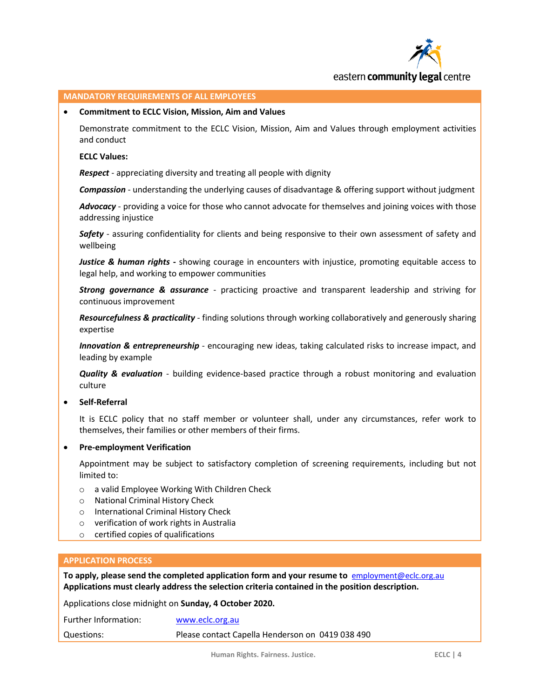

# eastern **community legal** centre

# **MANDATORY REQUIREMENTS OF ALL EMPLOYEES**

#### **Commitment to ECLC Vision, Mission, Aim and Values**

Demonstrate commitment to the ECLC Vision, Mission, Aim and Values through employment activities and conduct

## **ECLC Values:**

*Respect* - appreciating diversity and treating all people with dignity

*Compassion* - understanding the underlying causes of disadvantage & offering support without judgment

*Advocacy* - providing a voice for those who cannot advocate for themselves and joining voices with those addressing injustice

*Safety* - assuring confidentiality for clients and being responsive to their own assessment of safety and wellbeing

*Justice & human rights* **-** showing courage in encounters with injustice, promoting equitable access to legal help, and working to empower communities

*Strong governance & assurance* - practicing proactive and transparent leadership and striving for continuous improvement

*Resourcefulness & practicality* - finding solutions through working collaboratively and generously sharing expertise

*Innovation & entrepreneurship* - encouraging new ideas, taking calculated risks to increase impact, and leading by example

*Quality & evaluation* - building evidence-based practice through a robust monitoring and evaluation culture

## **•** Self-Referral

It is ECLC policy that no staff member or volunteer shall, under any circumstances, refer work to themselves, their families or other members of their firms.

**Pre-employment Verification**

Appointment may be subject to satisfactory completion of screening requirements, including but not limited to:

- o a valid Employee Working With Children Check
- o National Criminal History Check
- o International Criminal History Check
- o verification of work rights in Australia
- o certified copies of qualifications

### **APPLICATION PROCESS**

**To apply, please send the completed application form and your resume to** [employment@eclc.org.au](mailto:capellah@eclc.org.au) **Applications must clearly address the selection criteria contained in the position description.**

Applications close midnight on **Sunday, 4 October 2020.**

| Further Information: | www.eclc.org.au                                  |
|----------------------|--------------------------------------------------|
| Questions:           | Please contact Capella Henderson on 0419 038 490 |